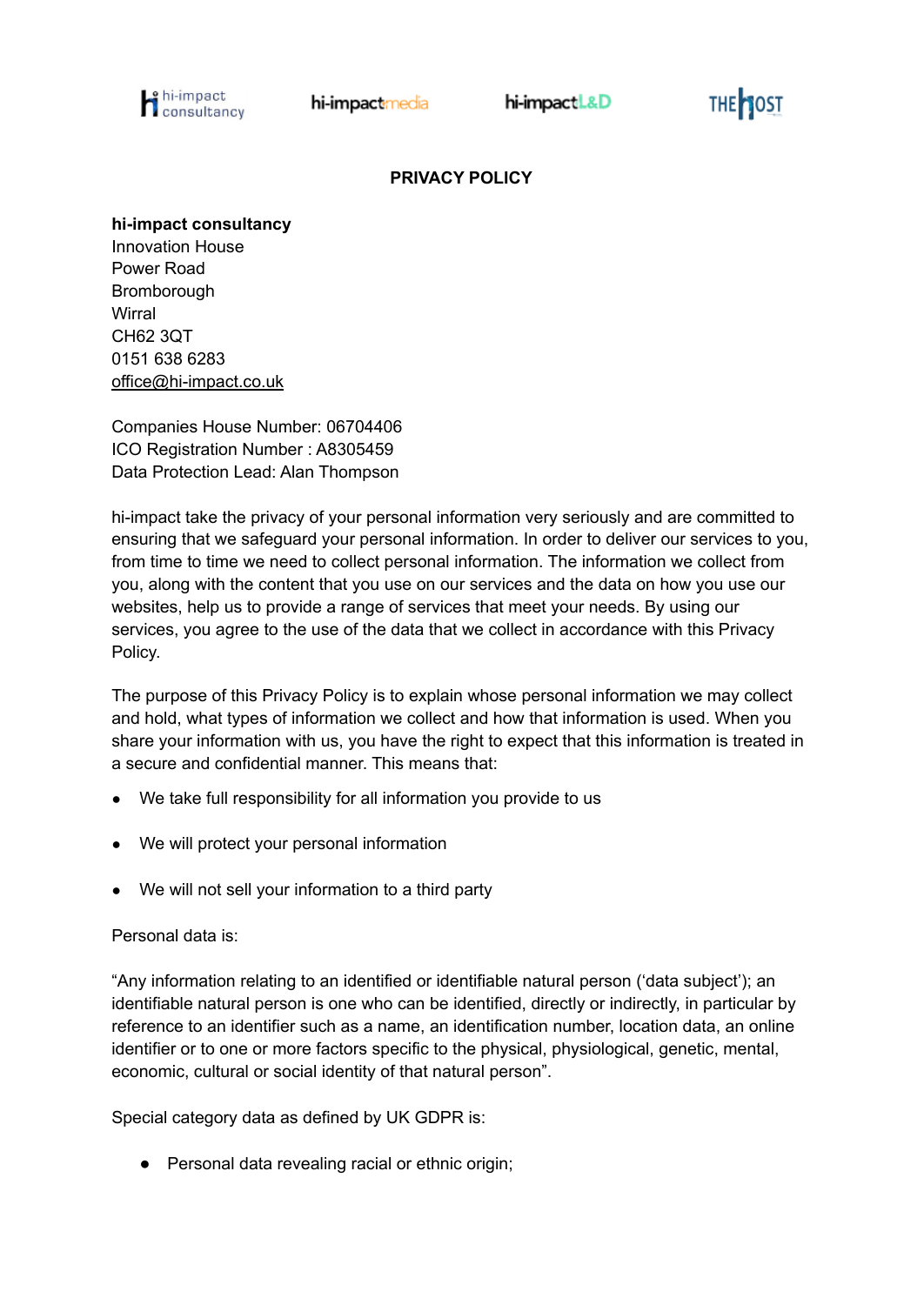

THE 10ST

# **PRIVACY POLICY**

#### **hi-impact consultancy**

Innovation House Power Road Bromborough **Wirral** CH62 3QT 0151 638 6283 [office@hi-impact.co.uk](mailto:office@hi-impact.co.uk)

Companies House Number: 06704406 ICO Registration Number : A8305459 Data Protection Lead: Alan Thompson

hi-impact take the privacy of your personal information very seriously and are committed to ensuring that we safeguard your personal information. In order to deliver our services to you, from time to time we need to collect personal information. The information we collect from you, along with the content that you use on our services and the data on how you use our websites, help us to provide a range of services that meet your needs. By using our services, you agree to the use of the data that we collect in accordance with this Privacy Policy.

The purpose of this Privacy Policy is to explain whose personal information we may collect and hold, what types of information we collect and how that information is used. When you share your information with us, you have the right to expect that this information is treated in a secure and confidential manner. This means that:

- We take full responsibility for all information you provide to us
- We will protect your personal information
- We will not sell your information to a third party

# Personal data is:

"Any information relating to an identified or identifiable natural person ('data subject'); an identifiable natural person is one who can be identified, directly or indirectly, in particular by reference to an identifier such as a name, an identification number, location data, an online identifier or to one or more factors specific to the physical, physiological, genetic, mental, economic, cultural or social identity of that natural person".

Special category data as defined by UK GDPR is:

● Personal data revealing racial or ethnic origin;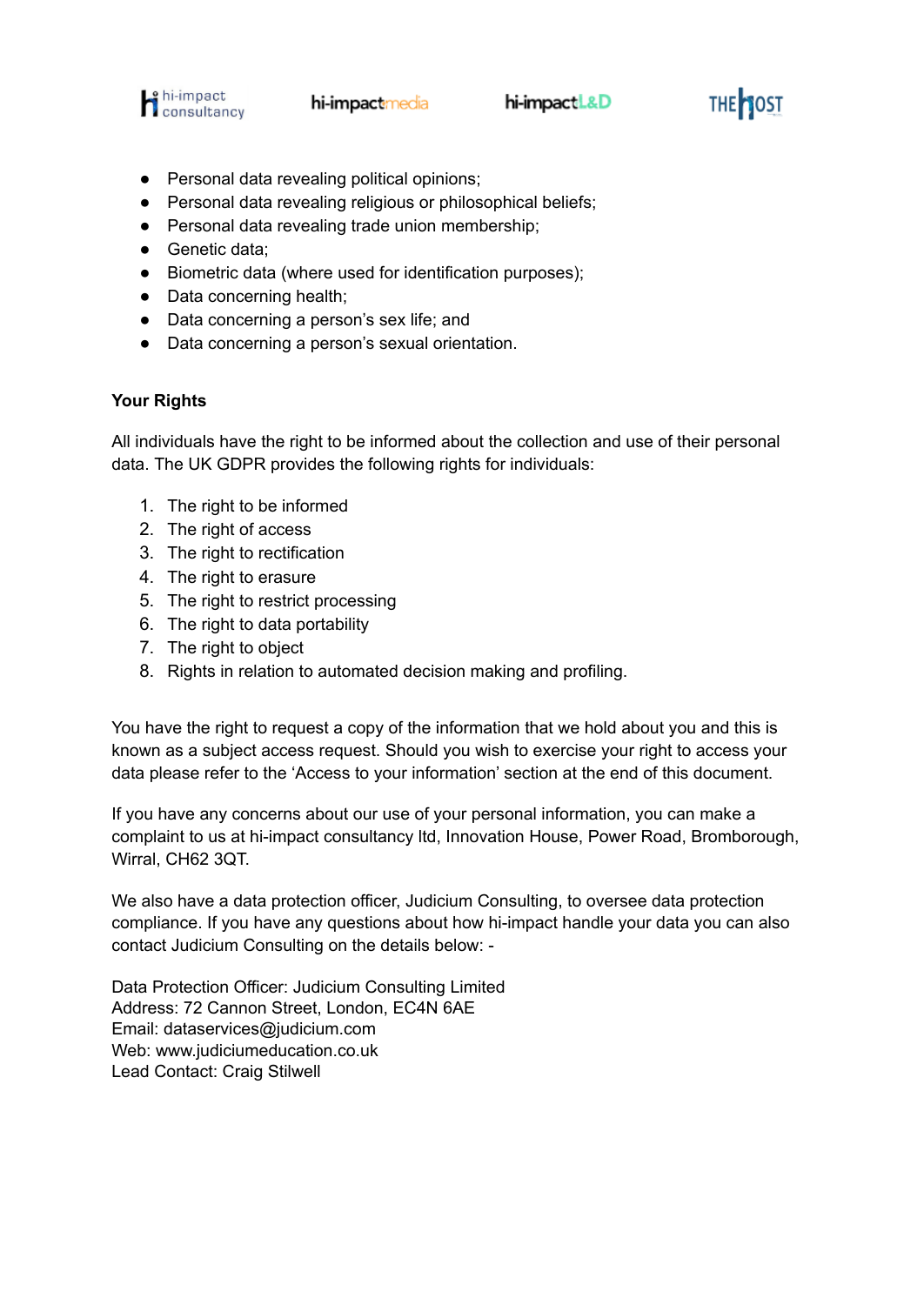

- Personal data revealing political opinions;
- Personal data revealing religious or philosophical beliefs;
- Personal data revealing trade union membership;
- Genetic data:
- Biometric data (where used for identification purposes);
- Data concerning health;
- Data concerning a person's sex life; and
- Data concerning a person's sexual orientation.

### **Your Rights**

All individuals have the right to be informed about the collection and use of their personal data. The UK GDPR provides the following rights for individuals:

- 1. The right to be informed
- 2. The right of access
- 3. The right to rectification
- 4. The right to erasure
- 5. The right to restrict processing
- 6. The right to data portability
- 7. The right to object
- 8. Rights in relation to automated decision making and profiling.

You have the right to request a copy of the information that we hold about you and this is known as a subject access request. Should you wish to exercise your right to access your data please refer to the 'Access to your information' section at the end of this document.

If you have any concerns about our use of your personal information, you can make a complaint to us at hi-impact consultancy ltd, Innovation House, Power Road, Bromborough, Wirral, CH62 3QT.

We also have a data protection officer, Judicium Consulting, to oversee data protection compliance. If you have any questions about how hi-impact handle your data you can also contact Judicium Consulting on the details below: -

Data Protection Officer: Judicium Consulting Limited Address: 72 Cannon Street, London, EC4N 6AE Email: [dataservices@judicium.com](mailto:dataservices@judicium.com) Web: www.judiciumeducation.co.uk Lead Contact: Craig Stilwell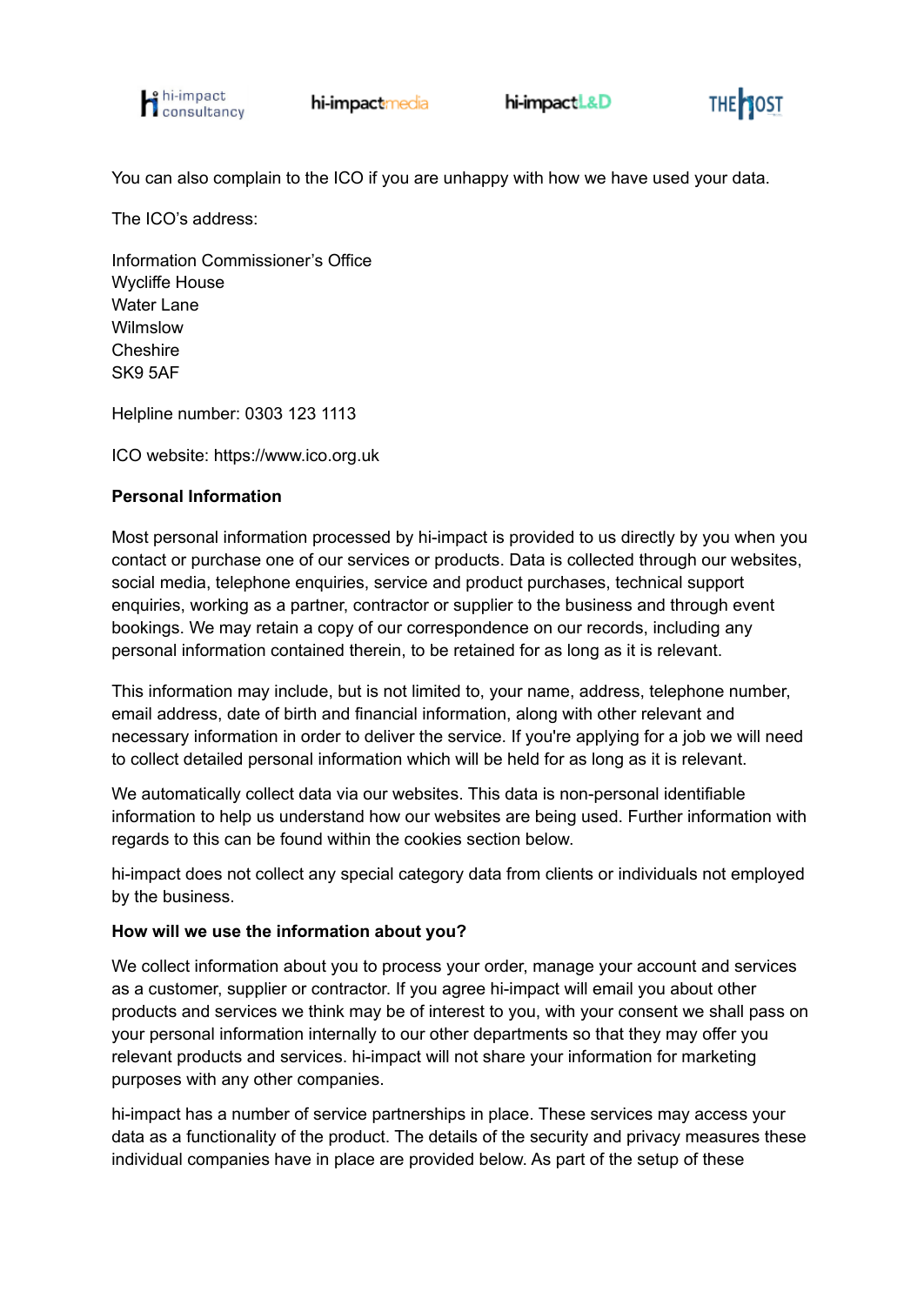



You can also complain to the ICO if you are unhappy with how we have used your data.

The ICO's address:

Information Commissioner's Office Wycliffe House Water Lane Wilmslow Cheshire SK9 5AF

Helpline number: 0303 123 1113

ICO website: <https://www.ico.org.uk>

### **Personal Information**

Most personal information processed by hi-impact is provided to us directly by you when you contact or purchase one of our services or products. Data is collected through our websites, social media, telephone enquiries, service and product purchases, technical support enquiries, working as a partner, contractor or supplier to the business and through event bookings. We may retain a copy of our correspondence on our records, including any personal information contained therein, to be retained for as long as it is relevant.

This information may include, but is not limited to, your name, address, telephone number, email address, date of birth and financial information, along with other relevant and necessary information in order to deliver the service. If you're applying for a job we will need to collect detailed personal information which will be held for as long as it is relevant.

We automatically collect data via our websites. This data is non-personal identifiable information to help us understand how our websites are being used. Further information with regards to this can be found within the cookies section below.

hi-impact does not collect any special category data from clients or individuals not employed by the business.

#### **How will we use the information about you?**

We collect information about you to process your order, manage your account and services as a customer, supplier or contractor. If you agree hi-impact will email you about other products and services we think may be of interest to you, with your consent we shall pass on your personal information internally to our other departments so that they may offer you relevant products and services. hi-impact will not share your information for marketing purposes with any other companies.

hi-impact has a number of service partnerships in place. These services may access your data as a functionality of the product. The details of the security and privacy measures these individual companies have in place are provided below. As part of the setup of these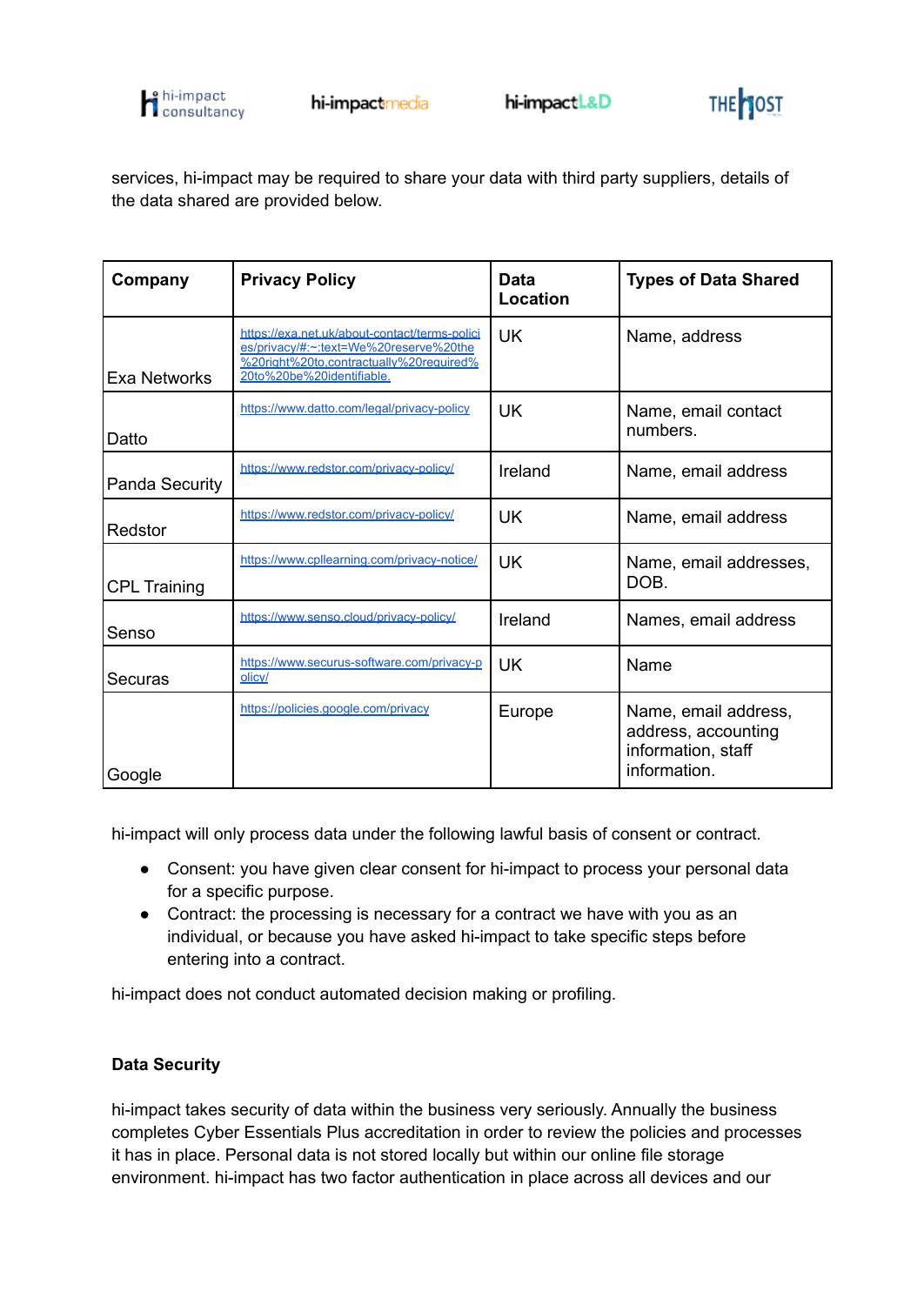



services, hi-impact may be required to share your data with third party suppliers, details of the data shared are provided below.

| Company             | <b>Privacy Policy</b>                                                                                                                                           | Data<br>Location | <b>Types of Data Shared</b>                                                       |
|---------------------|-----------------------------------------------------------------------------------------------------------------------------------------------------------------|------------------|-----------------------------------------------------------------------------------|
| <b>Exa Networks</b> | https://exa.net.uk/about-contact/terms-polici<br>es/privacy/#:~:text=We%20reserve%20the<br>%20right%20to.contractually%20required%<br>20to%20be%20identifiable. | UK.              | Name, address                                                                     |
| Datto               | https://www.datto.com/legal/privacy-policy                                                                                                                      | UK.              | Name, email contact<br>numbers.                                                   |
| Panda Security      | https://www.redstor.com/privacv-policy/                                                                                                                         | Ireland          | Name, email address                                                               |
| Redstor             | https://www.redstor.com/privacy-policy/                                                                                                                         | UK               | Name, email address                                                               |
| <b>CPL Training</b> | https://www.cpllearning.com/privacy-notice/                                                                                                                     | UK               | Name, email addresses,<br>DOB.                                                    |
| Senso               | https://www.senso.cloud/privacy-policy/                                                                                                                         | Ireland          | Names, email address                                                              |
| Securas             | https://www.securus-software.com/privacy-p<br>olicy/                                                                                                            | UK               | Name                                                                              |
| Google              | https://policies.google.com/privacy                                                                                                                             | Europe           | Name, email address,<br>address, accounting<br>information, staff<br>information. |

hi-impact will only process data under the following lawful basis of consent or contract.

- Consent: you have given clear consent for hi-impact to process your personal data for a specific purpose.
- Contract: the processing is necessary for a contract we have with you as an individual, or because you have asked hi-impact to take specific steps before entering into a contract.

hi-impact does not conduct automated decision making or profiling.

# **Data Security**

hi-impact takes security of data within the business very seriously. Annually the business completes Cyber Essentials Plus accreditation in order to review the policies and processes it has in place. Personal data is not stored locally but within our online file storage environment. hi-impact has two factor authentication in place across all devices and our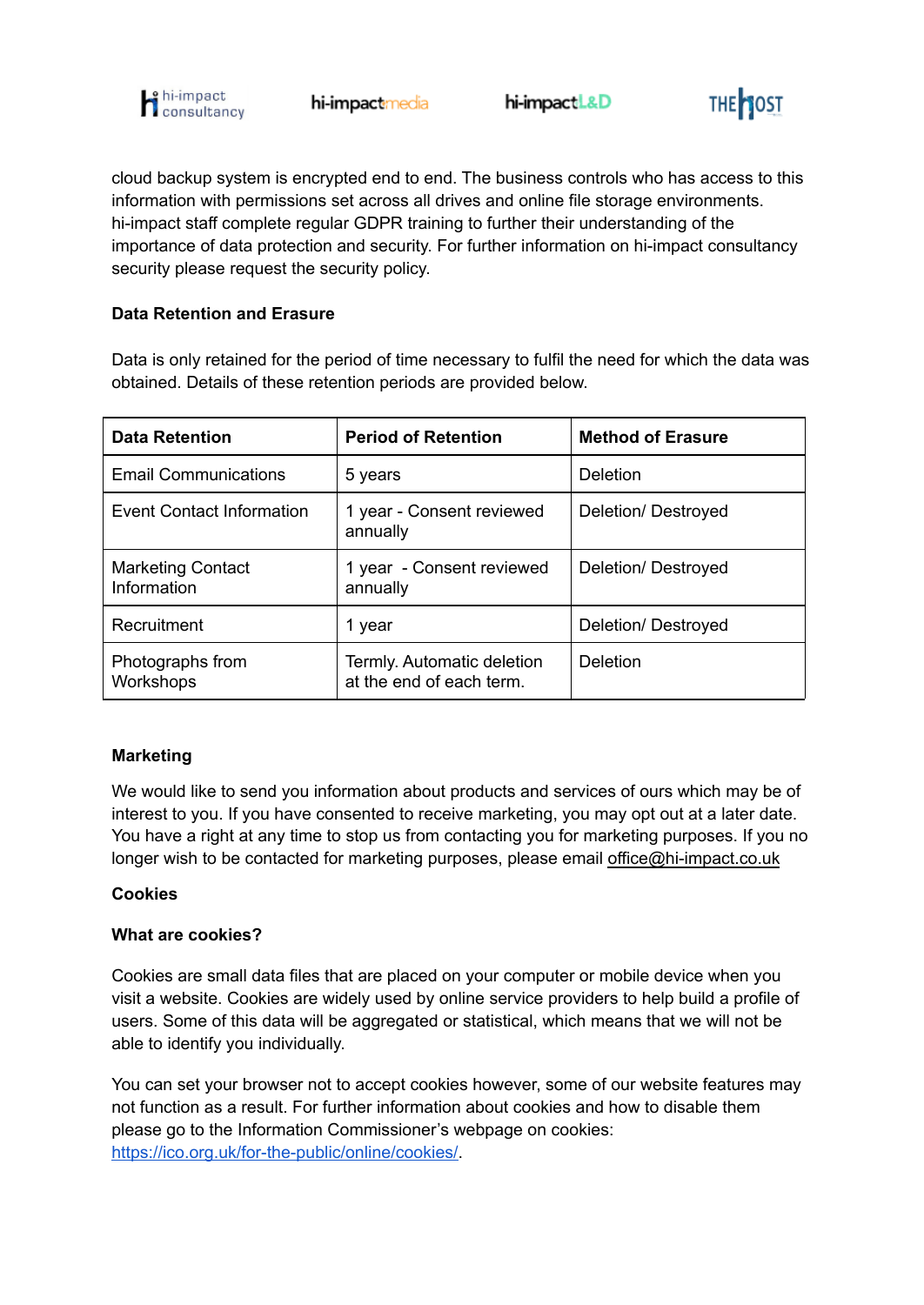



cloud backup system is encrypted end to end. The business controls who has access to this information with permissions set across all drives and online file storage environments. hi-impact staff complete regular GDPR training to further their understanding of the importance of data protection and security. For further information on hi-impact consultancy security please request the security policy.

# **Data Retention and Erasure**

Data is only retained for the period of time necessary to fulfil the need for which the data was obtained. Details of these retention periods are provided below.

| <b>Data Retention</b>                   | <b>Period of Retention</b>                             | <b>Method of Erasure</b> |
|-----------------------------------------|--------------------------------------------------------|--------------------------|
| <b>Email Communications</b>             | 5 years                                                | Deletion                 |
| <b>Event Contact Information</b>        | 1 year - Consent reviewed<br>annually                  | Deletion/Destroyed       |
| <b>Marketing Contact</b><br>Information | 1 year - Consent reviewed<br>annually                  | Deletion/Destroyed       |
| Recruitment                             | 1 year                                                 | Deletion/Destroyed       |
| Photographs from<br>Workshops           | Termly. Automatic deletion<br>at the end of each term. | Deletion                 |

# **Marketing**

We would like to send you information about products and services of ours which may be of interest to you. If you have consented to receive marketing, you may opt out at a later date. You have a right at any time to stop us from contacting you for marketing purposes. If you no longer wish to be contacted for marketing purposes, please email [office@hi-impact.co.uk](mailto:office@hi-impact.co.uk)

# **Cookies**

#### **What are cookies?**

Cookies are small data files that are placed on your computer or mobile device when you visit a website. Cookies are widely used by online service providers to help build a profile of users. Some of this data will be aggregated or statistical, which means that we will not be able to identify you individually.

You can set your browser not to accept cookies however, some of our website features may not function as a result. For further information about cookies and how to disable them please go to the Information Commissioner's webpage on cookies: [https://ico.org.uk/for-the-public/online/cookies/.](https://ico.org.uk/for-the-public/online/cookies/)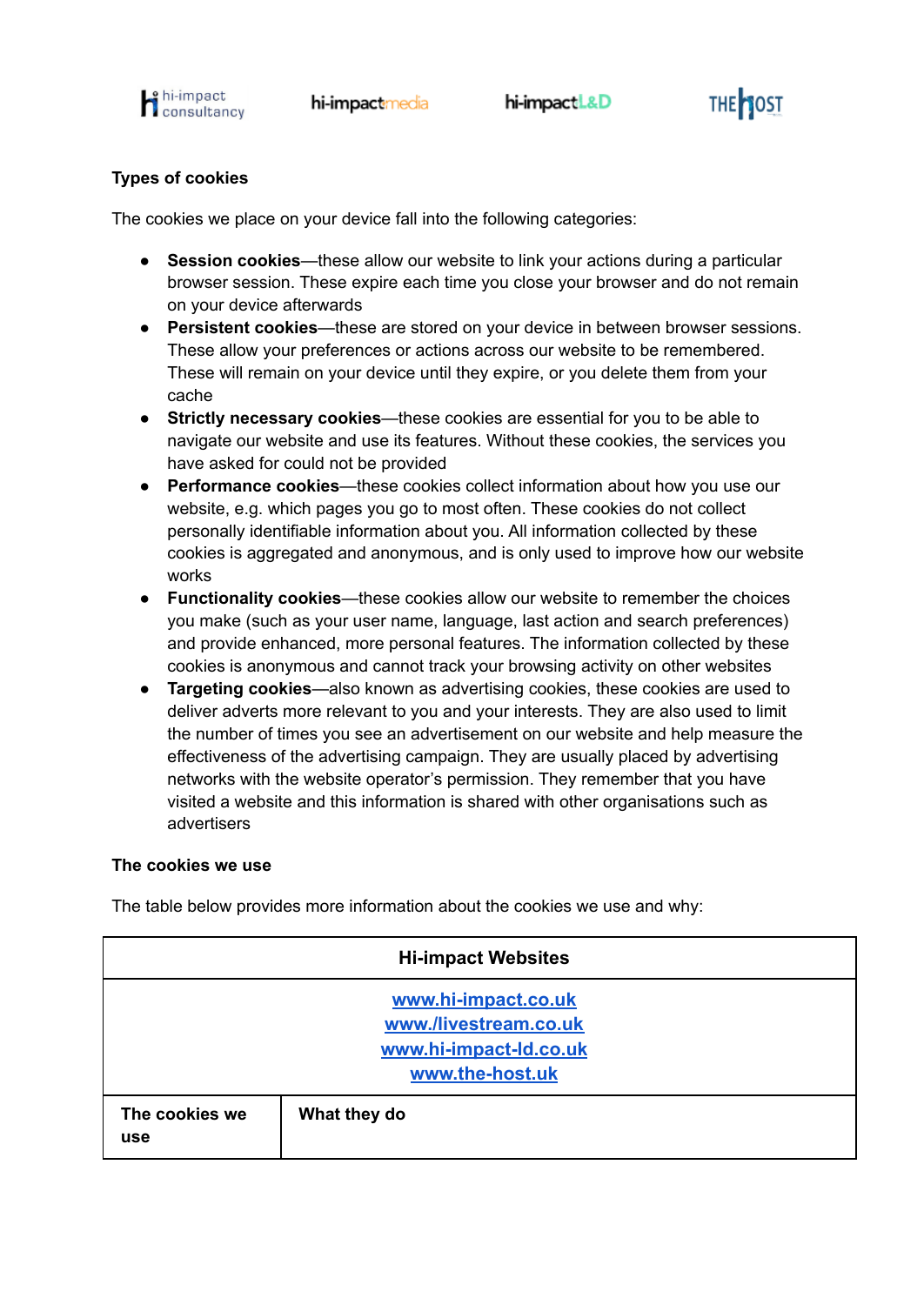



# **Types of cookies**

The cookies we place on your device fall into the following categories:

- **Session cookies**—these allow our website to link your actions during a particular browser session. These expire each time you close your browser and do not remain on your device afterwards
- **Persistent cookies**—these are stored on your device in between browser sessions. These allow your preferences or actions across our website to be remembered. These will remain on your device until they expire, or you delete them from your cache
- **Strictly necessary cookies**—these cookies are essential for you to be able to navigate our website and use its features. Without these cookies, the services you have asked for could not be provided
- **Performance cookies**—these cookies collect information about how you use our website, e.g. which pages you go to most often. These cookies do not collect personally identifiable information about you. All information collected by these cookies is aggregated and anonymous, and is only used to improve how our website works
- **Functionality cookies**—these cookies allow our website to remember the choices you make (such as your user name, language, last action and search preferences) and provide enhanced, more personal features. The information collected by these cookies is anonymous and cannot track your browsing activity on other websites
- **Targeting cookies**—also known as advertising cookies, these cookies are used to deliver adverts more relevant to you and your interests. They are also used to limit the number of times you see an advertisement on our website and help measure the effectiveness of the advertising campaign. They are usually placed by advertising networks with the website operator's permission. They remember that you have visited a website and this information is shared with other organisations such as advertisers

# **The cookies we use**

| <b>Hi-impact Websites</b>                                                                 |              |  |
|-------------------------------------------------------------------------------------------|--------------|--|
| www.hi-impact.co.uk<br>www./livestream.co.uk<br>www.hi-impact-ld.co.uk<br>www.the-host.uk |              |  |
| The cookies we<br><b>use</b>                                                              | What they do |  |

The table below provides more information about the cookies we use and why: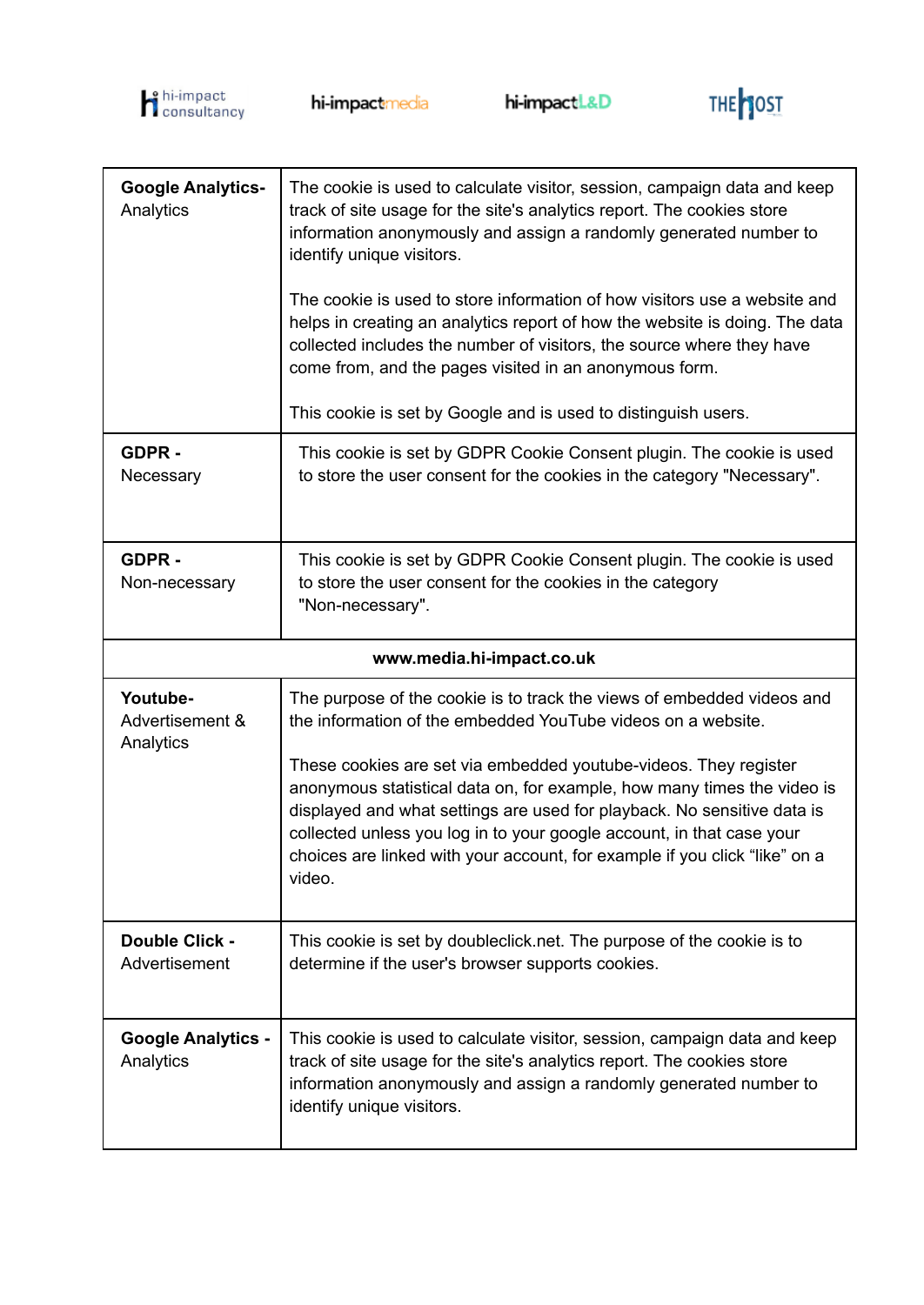



| <b>Google Analytics-</b><br>Analytics    | The cookie is used to calculate visitor, session, campaign data and keep<br>track of site usage for the site's analytics report. The cookies store<br>information anonymously and assign a randomly generated number to<br>identify unique visitors.<br>The cookie is used to store information of how visitors use a website and<br>helps in creating an analytics report of how the website is doing. The data<br>collected includes the number of visitors, the source where they have<br>come from, and the pages visited in an anonymous form.<br>This cookie is set by Google and is used to distinguish users. |  |
|------------------------------------------|-----------------------------------------------------------------------------------------------------------------------------------------------------------------------------------------------------------------------------------------------------------------------------------------------------------------------------------------------------------------------------------------------------------------------------------------------------------------------------------------------------------------------------------------------------------------------------------------------------------------------|--|
| GDPR-<br>Necessary                       | This cookie is set by GDPR Cookie Consent plugin. The cookie is used<br>to store the user consent for the cookies in the category "Necessary".                                                                                                                                                                                                                                                                                                                                                                                                                                                                        |  |
| GDPR-<br>Non-necessary                   | This cookie is set by GDPR Cookie Consent plugin. The cookie is used<br>to store the user consent for the cookies in the category<br>"Non-necessary".                                                                                                                                                                                                                                                                                                                                                                                                                                                                 |  |
| www.media.hi-impact.co.uk                |                                                                                                                                                                                                                                                                                                                                                                                                                                                                                                                                                                                                                       |  |
| Youtube-<br>Advertisement &<br>Analytics | The purpose of the cookie is to track the views of embedded videos and<br>the information of the embedded YouTube videos on a website.<br>These cookies are set via embedded youtube-videos. They register<br>anonymous statistical data on, for example, how many times the video is<br>displayed and what settings are used for playback. No sensitive data is<br>collected unless you log in to your google account, in that case your<br>choices are linked with your account, for example if you click "like" on a<br>video.                                                                                     |  |
| Double Click -<br>Advertisement          | This cookie is set by doubleclick.net. The purpose of the cookie is to<br>determine if the user's browser supports cookies.                                                                                                                                                                                                                                                                                                                                                                                                                                                                                           |  |
| <b>Google Analytics -</b><br>Analytics   | This cookie is used to calculate visitor, session, campaign data and keep<br>track of site usage for the site's analytics report. The cookies store<br>information anonymously and assign a randomly generated number to<br>identify unique visitors.                                                                                                                                                                                                                                                                                                                                                                 |  |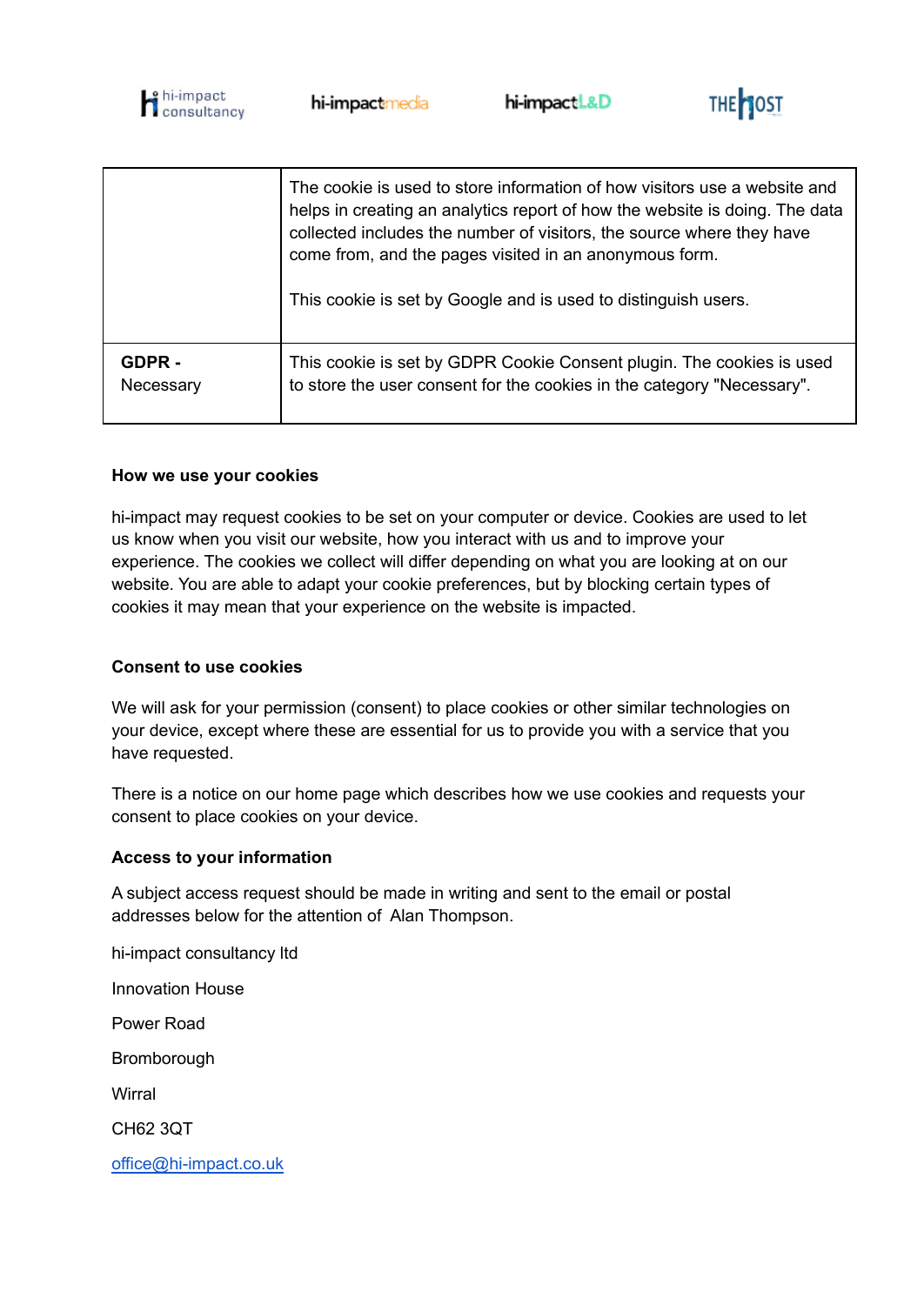



|           | The cookie is used to store information of how visitors use a website and<br>helps in creating an analytics report of how the website is doing. The data<br>collected includes the number of visitors, the source where they have<br>come from, and the pages visited in an anonymous form.<br>This cookie is set by Google and is used to distinguish users. |
|-----------|---------------------------------------------------------------------------------------------------------------------------------------------------------------------------------------------------------------------------------------------------------------------------------------------------------------------------------------------------------------|
| GDPR -    | This cookie is set by GDPR Cookie Consent plugin. The cookies is used                                                                                                                                                                                                                                                                                         |
| Necessary | to store the user consent for the cookies in the category "Necessary".                                                                                                                                                                                                                                                                                        |

### **How we use your cookies**

hi-impact may request cookies to be set on your computer or device. Cookies are used to let us know when you visit our website, how you interact with us and to improve your experience. The cookies we collect will differ depending on what you are looking at on our website. You are able to adapt your cookie preferences, but by blocking certain types of cookies it may mean that your experience on the website is impacted.

#### **Consent to use cookies**

We will ask for your permission (consent) to place cookies or other similar technologies on your device, except where these are essential for us to provide you with a service that you have requested.

There is a notice on our home page which describes how we use cookies and requests your consent to place cookies on your device.

#### **Access to your information**

A subject access request should be made in writing and sent to the email or postal addresses below for the attention of Alan Thompson.

hi-impact consultancy ltd Innovation House Power Road Bromborough **Wirral** CH62 3QT [office@hi-impact.co.uk](mailto:office@hi-impact.co.uk)